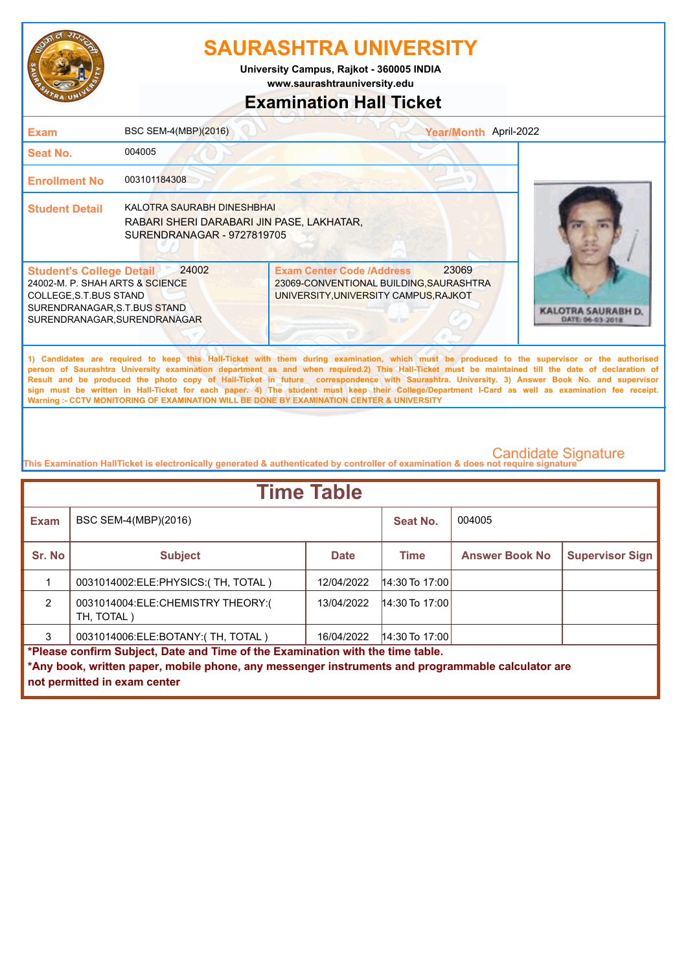

**www.saurashtrauniversity.edu University Campus, Rajkot - 360005 INDIA**

### **Examination Hall Ticket**

| <b>Exam</b>                                                                                                                                                                                                                                                                                                                                                                                                                                                                                                                                                                                                                                                                                         | BSC SEM-4(MBP)(2016)                                                                                         |                                                                                                                      | Year/Month April-2022 |                                        |  |  |
|-----------------------------------------------------------------------------------------------------------------------------------------------------------------------------------------------------------------------------------------------------------------------------------------------------------------------------------------------------------------------------------------------------------------------------------------------------------------------------------------------------------------------------------------------------------------------------------------------------------------------------------------------------------------------------------------------------|--------------------------------------------------------------------------------------------------------------|----------------------------------------------------------------------------------------------------------------------|-----------------------|----------------------------------------|--|--|
| <b>Seat No.</b>                                                                                                                                                                                                                                                                                                                                                                                                                                                                                                                                                                                                                                                                                     | 004005                                                                                                       |                                                                                                                      |                       |                                        |  |  |
| <b>Enrollment No</b>                                                                                                                                                                                                                                                                                                                                                                                                                                                                                                                                                                                                                                                                                | 003101184308                                                                                                 |                                                                                                                      |                       |                                        |  |  |
| <b>Student Detail</b>                                                                                                                                                                                                                                                                                                                                                                                                                                                                                                                                                                                                                                                                               | <b>KALOTRA SAURABH DINESHBHAI</b><br>RABARI SHERI DARABARI JIN PASE, LAKHATAR,<br>SURENDRANAGAR - 9727819705 |                                                                                                                      |                       |                                        |  |  |
| <b>Student's College Detail</b><br>24002-M. P. SHAH ARTS & SCIENCE<br>COLLEGE, S.T. BUS STAND<br>SURENDRANAGAR, S.T.BUS STAND<br>SURENDRANAGAR, SURENDRANAGAR                                                                                                                                                                                                                                                                                                                                                                                                                                                                                                                                       | 24002                                                                                                        | <b>Exam Center Code /Address</b><br>23069-CONVENTIONAL BUILDING, SAURASHTRA<br>UNIVERSITY, UNIVERSITY CAMPUS, RAJKOT | 23069                 | KALOTRA SAURABH D.<br>DATE: 06-03-2018 |  |  |
| 1) Candidates are required to keep this Hall-Ticket with them during examination, which must be produced to the supervisor or the authorised<br>person of Saurashtra University examination department as and when required.2) This Hall-Ticket must be maintained till the date of declaration of<br>Result and be produced the photo copy of Hall-Ticket in future correspondence with Saurashtra. University. 3) Answer Book No. and supervisor<br>sign must be written in Hall-Ticket for each paper. 4) The student must keep their College/Department I-Card as well as examination fee receipt.<br>Warning :- CCTV MONITORING OF EXAMINATION WILL BE DONE BY EXAMINATION CENTER & UNIVERSITY |                                                                                                              |                                                                                                                      |                       |                                        |  |  |
| <b>Candidate Signature</b><br>This Examination HallTicket is electronically generated & authenticated by controller of examination & does not require signature                                                                                                                                                                                                                                                                                                                                                                                                                                                                                                                                     |                                                                                                              |                                                                                                                      |                       |                                        |  |  |
|                                                                                                                                                                                                                                                                                                                                                                                                                                                                                                                                                                                                                                                                                                     | Time Table                                                                                                   |                                                                                                                      |                       |                                        |  |  |

| <b>Time Table</b>                                                              |                                                                                                   |             |                  |                       |                        |  |
|--------------------------------------------------------------------------------|---------------------------------------------------------------------------------------------------|-------------|------------------|-----------------------|------------------------|--|
| <b>Exam</b>                                                                    | BSC SEM-4(MBP)(2016)                                                                              |             | Seat No.         | 004005                |                        |  |
| Sr. No                                                                         | <b>Subject</b>                                                                                    | <b>Date</b> | <b>Time</b>      | <b>Answer Book No</b> | <b>Supervisor Sign</b> |  |
|                                                                                | 0031014002:ELE:PHYSICS:(TH, TOTAL)                                                                | 12/04/2022  | $14:30$ To 17:00 |                       |                        |  |
| $\mathfrak{p}$                                                                 | 0031014004:ELE:CHEMISTRY THEORY:(<br>TH, TOTAL)                                                   | 13/04/2022  | $14:30$ To 17:00 |                       |                        |  |
|                                                                                | 0031014006:ELE:BOTANY:(TH, TOTAL)                                                                 | 16/04/2022  | $14:30$ To 17:00 |                       |                        |  |
| *Please confirm Subject, Date and Time of the Examination with the time table. |                                                                                                   |             |                  |                       |                        |  |
|                                                                                | ↑Any book, written paper, mobile phone, any messenger instruments and programmable calculator are |             |                  |                       |                        |  |
|                                                                                | not permitted in exam center                                                                      |             |                  |                       |                        |  |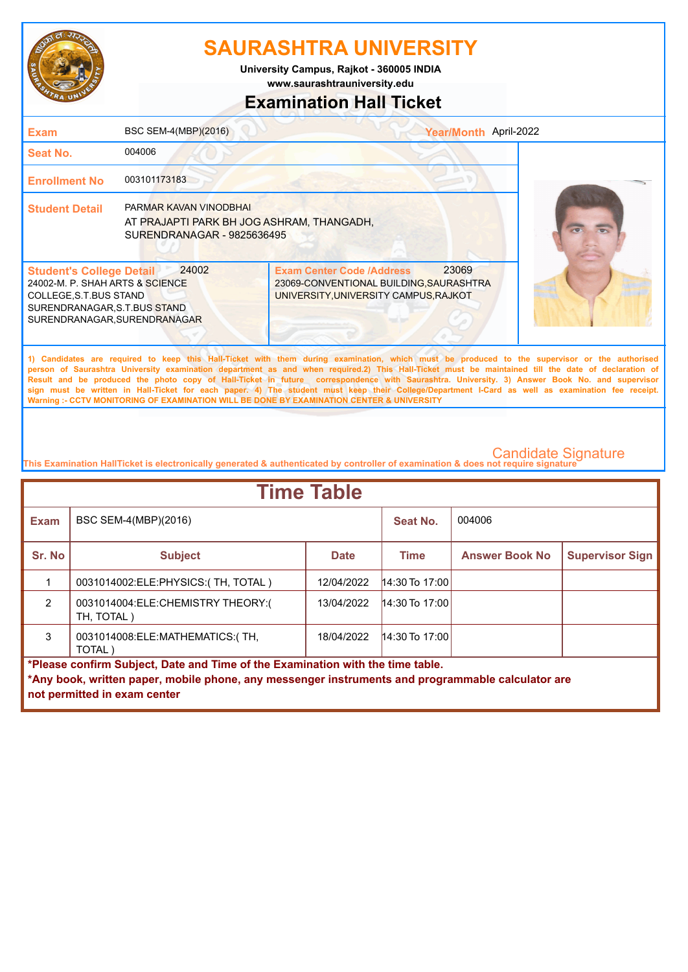

**www.saurashtrauniversity.edu University Campus, Rajkot - 360005 INDIA**

## **Examination Hall Ticket**

| <b>Exam</b>                                                                                                                                                                                                                                                                                                                                                                                                                                                                                                                                                                                                                                                                                         | BSC SEM-4(MBP)(2016)                                                                                     |                                                                                                                               | Year/Month April-2022 |  |
|-----------------------------------------------------------------------------------------------------------------------------------------------------------------------------------------------------------------------------------------------------------------------------------------------------------------------------------------------------------------------------------------------------------------------------------------------------------------------------------------------------------------------------------------------------------------------------------------------------------------------------------------------------------------------------------------------------|----------------------------------------------------------------------------------------------------------|-------------------------------------------------------------------------------------------------------------------------------|-----------------------|--|
| Seat No.                                                                                                                                                                                                                                                                                                                                                                                                                                                                                                                                                                                                                                                                                            | 004006                                                                                                   |                                                                                                                               |                       |  |
| <b>Enrollment No</b>                                                                                                                                                                                                                                                                                                                                                                                                                                                                                                                                                                                                                                                                                | 003101173183                                                                                             |                                                                                                                               |                       |  |
| <b>Student Detail</b>                                                                                                                                                                                                                                                                                                                                                                                                                                                                                                                                                                                                                                                                               | <b>PARMAR KAVAN VINODBHAI</b><br>AT PRAJAPTI PARK BH JOG ASHRAM, THANGADH,<br>SURENDRANAGAR - 9825636495 |                                                                                                                               |                       |  |
| <b>Student's College Detail</b><br>24002-M. P. SHAH ARTS & SCIENCE<br>COLLEGE, S.T.BUS STAND<br>SURENDRANAGAR, S.T.BUS STAND<br>SURENDRANAGAR, SURENDRANAGAR                                                                                                                                                                                                                                                                                                                                                                                                                                                                                                                                        | 24002                                                                                                    | 23069<br><b>Exam Center Code /Address</b><br>23069-CONVENTIONAL BUILDING, SAURASHTRA<br>UNIVERSITY, UNIVERSITY CAMPUS, RAJKOT |                       |  |
| 1) Candidates are required to keep this Hall-Ticket with them during examination, which must be produced to the supervisor or the authorised<br>person of Saurashtra University examination department as and when required.2) This Hall-Ticket must be maintained till the date of declaration of<br>Result and be produced the photo copy of Hall-Ticket in future correspondence with Saurashtra. University. 3) Answer Book No. and supervisor<br>sign must be written in Hall-Ticket for each paper. 4) The student must keep their College/Department I-Card as well as examination fee receipt.<br>Warning :- CCTV MONITORING OF EXAMINATION WILL BE DONE BY EXAMINATION CENTER & UNIVERSITY |                                                                                                          |                                                                                                                               |                       |  |
|                                                                                                                                                                                                                                                                                                                                                                                                                                                                                                                                                                                                                                                                                                     |                                                                                                          |                                                                                                                               |                       |  |

| <b>Time Table</b>                                                                                 |                                                 |             |                  |                       |                        |  |
|---------------------------------------------------------------------------------------------------|-------------------------------------------------|-------------|------------------|-----------------------|------------------------|--|
| <b>Exam</b>                                                                                       | BSC SEM-4(MBP)(2016)                            |             | Seat No.         | 004006                |                        |  |
| Sr. No                                                                                            | <b>Subject</b>                                  | <b>Date</b> | <b>Time</b>      | <b>Answer Book No</b> | <b>Supervisor Sign</b> |  |
|                                                                                                   | 0031014002:ELE:PHYSICS:(TH, TOTAL)              | 12/04/2022  | 14:30 To 17:00   |                       |                        |  |
| 2                                                                                                 | 0031014004:ELE:CHEMISTRY THEORY:(<br>TH, TOTAL) | 13/04/2022  | $14:30$ To 17:00 |                       |                        |  |
| 3                                                                                                 | 0031014008: ELE: MATHEMATICS: (TH,<br>TOTAL)    | 18/04/2022  | $14:30$ To 17:00 |                       |                        |  |
| *Please confirm Subject, Date and Time of the Examination with the time table.                    |                                                 |             |                  |                       |                        |  |
| *Any book, written paper, mobile phone, any messenger instruments and programmable calculator are |                                                 |             |                  |                       |                        |  |
|                                                                                                   | not permitted in exam center                    |             |                  |                       |                        |  |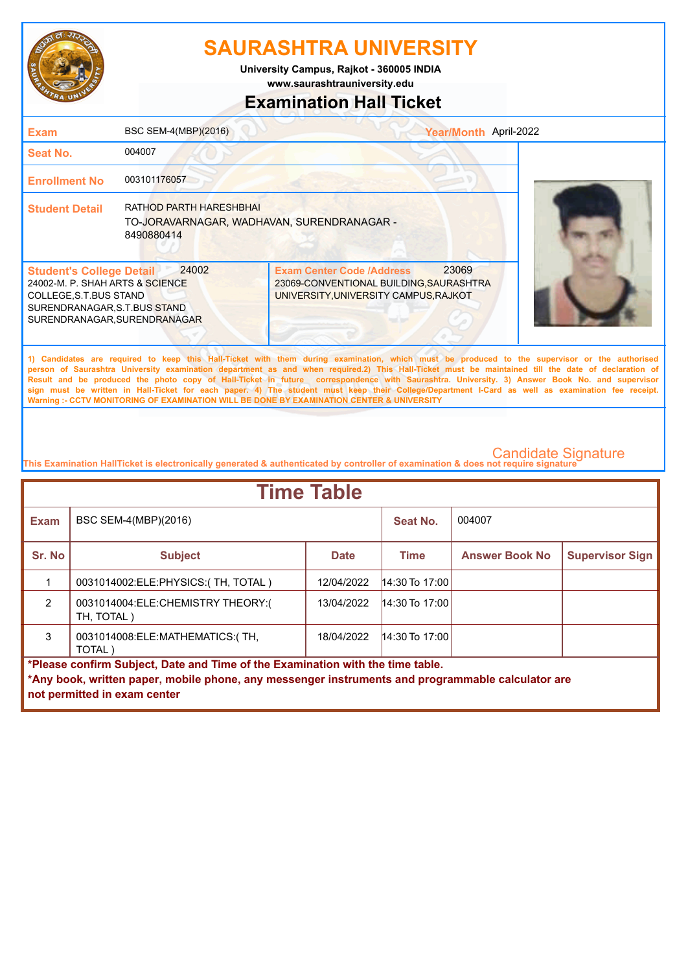

**www.saurashtrauniversity.edu University Campus, Rajkot - 360005 INDIA**

# **Examination Hall Ticket**

| <b>Exam</b>                                                                                                                                                  | BSC SEM-4(MBP)(2016)                                                                | Year/Month April-2022                                                                                                                                                                                                                                                                                                                                                                                                                                                                                                                                                                                                                                                                               |  |
|--------------------------------------------------------------------------------------------------------------------------------------------------------------|-------------------------------------------------------------------------------------|-----------------------------------------------------------------------------------------------------------------------------------------------------------------------------------------------------------------------------------------------------------------------------------------------------------------------------------------------------------------------------------------------------------------------------------------------------------------------------------------------------------------------------------------------------------------------------------------------------------------------------------------------------------------------------------------------------|--|
| Seat No.                                                                                                                                                     | 004007                                                                              |                                                                                                                                                                                                                                                                                                                                                                                                                                                                                                                                                                                                                                                                                                     |  |
| <b>Enrollment No</b>                                                                                                                                         | 003101176057                                                                        |                                                                                                                                                                                                                                                                                                                                                                                                                                                                                                                                                                                                                                                                                                     |  |
| <b>Student Detail</b>                                                                                                                                        | RATHOD PARTH HARESHBHAI<br>TO-JORAVARNAGAR, WADHAVAN, SURENDRANAGAR -<br>8490880414 |                                                                                                                                                                                                                                                                                                                                                                                                                                                                                                                                                                                                                                                                                                     |  |
| <b>Student's College Detail</b><br>24002-M. P. SHAH ARTS & SCIENCE<br>COLLEGE, S.T.BUS STAND<br>SURENDRANAGAR, S.T.BUS STAND<br>SURENDRANAGAR, SURENDRANAGAR | 24002                                                                               | 23069<br><b>Exam Center Code /Address</b><br>23069-CONVENTIONAL BUILDING, SAURASHTRA<br>UNIVERSITY, UNIVERSITY CAMPUS, RAJKOT                                                                                                                                                                                                                                                                                                                                                                                                                                                                                                                                                                       |  |
|                                                                                                                                                              |                                                                                     | 1) Candidates are required to keep this Hall-Ticket with them during examination, which must be produced to the supervisor or the authorised<br>person of Saurashtra University examination department as and when required.2) This Hall-Ticket must be maintained till the date of declaration of<br>Result and be produced the photo copy of Hall-Ticket in future correspondence with Saurashtra. University. 3) Answer Book No. and supervisor<br>sign must be written in Hall-Ticket for each paper. 4) The student must keep their College/Department I-Card as well as examination fee receipt.<br>Warning :- CCTV MONITORING OF EXAMINATION WILL BE DONE BY EXAMINATION CENTER & UNIVERSITY |  |
|                                                                                                                                                              |                                                                                     |                                                                                                                                                                                                                                                                                                                                                                                                                                                                                                                                                                                                                                                                                                     |  |

| <b>Time Table</b>                                                              |                                                                                                   |             |                  |                       |                        |  |
|--------------------------------------------------------------------------------|---------------------------------------------------------------------------------------------------|-------------|------------------|-----------------------|------------------------|--|
| <b>Exam</b>                                                                    | BSC SEM-4(MBP)(2016)                                                                              |             | Seat No.         | 004007                |                        |  |
| Sr. No                                                                         | <b>Subject</b>                                                                                    | <b>Date</b> | <b>Time</b>      | <b>Answer Book No</b> | <b>Supervisor Sign</b> |  |
|                                                                                | 0031014002:ELE:PHYSICS:(TH, TOTAL)                                                                | 12/04/2022  | 14:30 To 17:00   |                       |                        |  |
| $\mathcal{P}$                                                                  | 0031014004:ELE:CHEMISTRY THEORY:(<br>TH, TOTAL)                                                   | 13/04/2022  | $14:30$ To 17:00 |                       |                        |  |
| 3                                                                              | 0031014008: ELE: MATHEMATICS: (TH,<br>TOTAL)                                                      | 18/04/2022  | $14:30$ To 17:00 |                       |                        |  |
| *Please confirm Subject, Date and Time of the Examination with the time table. |                                                                                                   |             |                  |                       |                        |  |
|                                                                                | *Any book, written paper, mobile phone, any messenger instruments and programmable calculator are |             |                  |                       |                        |  |
|                                                                                | not permitted in exam center                                                                      |             |                  |                       |                        |  |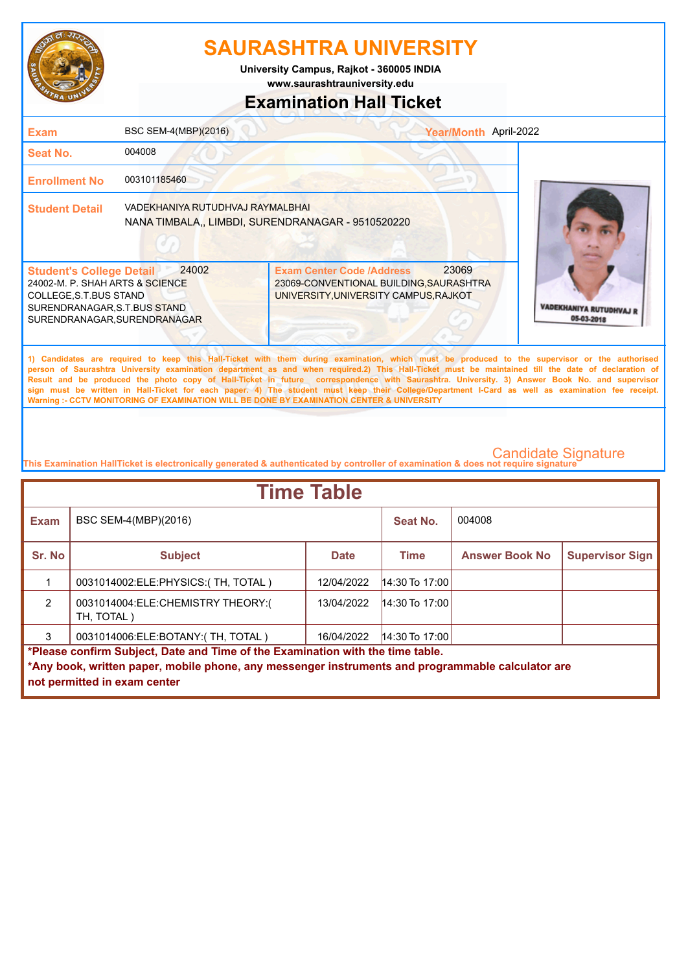

**University Campus, Rajkot - 360005 INDIA**

### **www.saurashtrauniversity.edu**

### **Examination Hall Ticket**

| <b>Exam</b>                                                                                                                                                  | <b>BSC SEM-4(MBP)(2016)</b>      |                                                                                                                                                                                                                                                                                                                                                                                                                                                                                                                                                                                                                                                                                                     | Year/Month April-2022 |                                            |
|--------------------------------------------------------------------------------------------------------------------------------------------------------------|----------------------------------|-----------------------------------------------------------------------------------------------------------------------------------------------------------------------------------------------------------------------------------------------------------------------------------------------------------------------------------------------------------------------------------------------------------------------------------------------------------------------------------------------------------------------------------------------------------------------------------------------------------------------------------------------------------------------------------------------------|-----------------------|--------------------------------------------|
| <b>Seat No.</b>                                                                                                                                              | 004008                           |                                                                                                                                                                                                                                                                                                                                                                                                                                                                                                                                                                                                                                                                                                     |                       |                                            |
| <b>Enrollment No</b>                                                                                                                                         | 003101185460                     |                                                                                                                                                                                                                                                                                                                                                                                                                                                                                                                                                                                                                                                                                                     |                       |                                            |
| <b>Student Detail</b>                                                                                                                                        | VADEKHANIYA RUTUDHVAJ RAYMALBHAI | NANA TIMBALA,, LIMBDI, SURENDRANAGAR - 9510520220                                                                                                                                                                                                                                                                                                                                                                                                                                                                                                                                                                                                                                                   |                       |                                            |
| <b>Student's College Detail</b><br>24002-M. P. SHAH ARTS & SCIENCE<br>COLLEGE, S.T.BUS STAND<br>SURENDRANAGAR, S.T.BUS STAND<br>SURENDRANAGAR, SURENDRANAGAR | 24002                            | <b>Exam Center Code /Address</b><br>23069-CONVENTIONAL BUILDING, SAURASHTRA<br>UNIVERSITY, UNIVERSITY CAMPUS, RAJKOT                                                                                                                                                                                                                                                                                                                                                                                                                                                                                                                                                                                | 23069                 | <b>VADEKHANIYA RUTUDHVAJ</b><br>05-03-2018 |
|                                                                                                                                                              |                                  | 1) Candidates are required to keep this Hall-Ticket with them during examination, which must be produced to the supervisor or the authorised<br>person of Saurashtra University examination department as and when required.2) This Hall-Ticket must be maintained till the date of declaration of<br>Result and be produced the photo copy of Hall-Ticket in future correspondence with Saurashtra. University. 3) Answer Book No. and supervisor<br>sign must be written in Hall-Ticket for each paper. 4) The student must keep their College/Department I-Card as well as examination fee receipt.<br>Warning :- CCTV MONITORING OF EXAMINATION WILL BE DONE BY EXAMINATION CENTER & UNIVERSITY |                       |                                            |

| <b>Time Table</b>                                                              |                                                                                                   |             |                  |                       |                        |  |
|--------------------------------------------------------------------------------|---------------------------------------------------------------------------------------------------|-------------|------------------|-----------------------|------------------------|--|
| <b>Exam</b>                                                                    | BSC SEM-4(MBP)(2016)                                                                              |             | Seat No.         | 004008                |                        |  |
| Sr. No                                                                         | <b>Subject</b>                                                                                    | <b>Date</b> | <b>Time</b>      | <b>Answer Book No</b> | <b>Supervisor Sign</b> |  |
|                                                                                | 0031014002: ELE: PHYSICS: (TH, TOTAL)                                                             | 12/04/2022  | $14:30$ To 17:00 |                       |                        |  |
| $\mathfrak{p}$                                                                 | 0031014004:ELE:CHEMISTRY THEORY:(<br>TH, TOTAL)                                                   | 13/04/2022  | $14:30$ To 17:00 |                       |                        |  |
| 3                                                                              | 0031014006:ELE:BOTANY:(TH, TOTAL)                                                                 | 16/04/2022  | $14:30$ To 17:00 |                       |                        |  |
| *Please confirm Subject, Date and Time of the Examination with the time table. |                                                                                                   |             |                  |                       |                        |  |
|                                                                                | *Any book, written paper, mobile phone, any messenger instruments and programmable calculator are |             |                  |                       |                        |  |
|                                                                                | not permitted in exam center                                                                      |             |                  |                       |                        |  |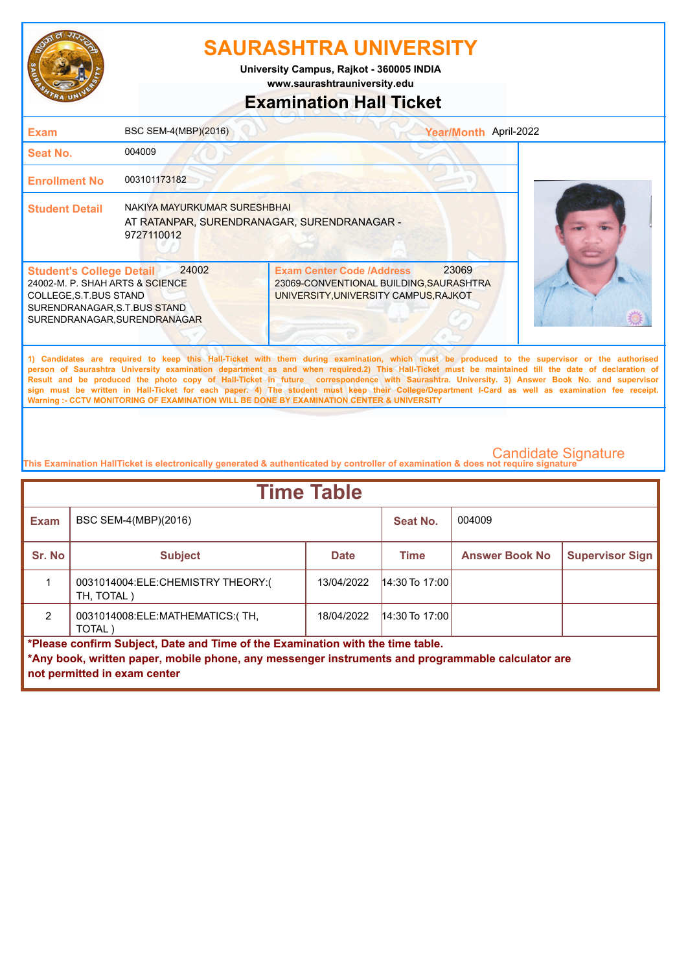

**www.saurashtrauniversity.edu University Campus, Rajkot - 360005 INDIA**

### **Examination Hall Ticket**

| <b>Exam</b>                                                                                                                                                  | BSC SEM-4(MBP)(2016)                                                                      | Year/Month April-2022                                                                                                                                                                                                                                                                                                                                                                                                                                                                                                                                                                                                                                                                               |  |
|--------------------------------------------------------------------------------------------------------------------------------------------------------------|-------------------------------------------------------------------------------------------|-----------------------------------------------------------------------------------------------------------------------------------------------------------------------------------------------------------------------------------------------------------------------------------------------------------------------------------------------------------------------------------------------------------------------------------------------------------------------------------------------------------------------------------------------------------------------------------------------------------------------------------------------------------------------------------------------------|--|
| <b>Seat No.</b>                                                                                                                                              | 004009                                                                                    |                                                                                                                                                                                                                                                                                                                                                                                                                                                                                                                                                                                                                                                                                                     |  |
| <b>Enrollment No</b>                                                                                                                                         | 003101173182                                                                              |                                                                                                                                                                                                                                                                                                                                                                                                                                                                                                                                                                                                                                                                                                     |  |
| <b>Student Detail</b>                                                                                                                                        | NAKIYA MAYURKUMAR SURESHBHAI<br>AT RATANPAR, SURENDRANAGAR, SURENDRANAGAR -<br>9727110012 |                                                                                                                                                                                                                                                                                                                                                                                                                                                                                                                                                                                                                                                                                                     |  |
| <b>Student's College Detail</b><br>24002-M. P. SHAH ARTS & SCIENCE<br>COLLEGE, S.T.BUS STAND<br>SURENDRANAGAR, S.T.BUS STAND<br>SURENDRANAGAR, SURENDRANAGAR | 24002                                                                                     | 23069<br><b>Exam Center Code /Address</b><br>23069-CONVENTIONAL BUILDING, SAURASHTRA<br>UNIVERSITY, UNIVERSITY CAMPUS, RAJKOT                                                                                                                                                                                                                                                                                                                                                                                                                                                                                                                                                                       |  |
|                                                                                                                                                              |                                                                                           | 1) Candidates are required to keep this Hall-Ticket with them during examination, which must be produced to the supervisor or the authorised<br>person of Saurashtra University examination department as and when required.2) This Hall-Ticket must be maintained till the date of declaration of<br>Result and be produced the photo copy of Hall-Ticket in future correspondence with Saurashtra. University. 3) Answer Book No. and supervisor<br>sign must be written in Hall-Ticket for each paper. 4) The student must keep their College/Department I-Card as well as examination fee receipt.<br>Warning :- CCTV MONITORING OF EXAMINATION WILL BE DONE BY EXAMINATION CENTER & UNIVERSITY |  |
|                                                                                                                                                              |                                                                                           |                                                                                                                                                                                                                                                                                                                                                                                                                                                                                                                                                                                                                                                                                                     |  |

| <b>Time Table</b>                                                                                 |                                                 |             |                  |                       |                        |
|---------------------------------------------------------------------------------------------------|-------------------------------------------------|-------------|------------------|-----------------------|------------------------|
| <b>Exam</b>                                                                                       | BSC SEM-4(MBP)(2016)                            |             | Seat No.         | 004009                |                        |
| Sr. No                                                                                            | <b>Subject</b>                                  | <b>Date</b> | <b>Time</b>      | <b>Answer Book No</b> | <b>Supervisor Sign</b> |
|                                                                                                   | 0031014004:ELE:CHEMISTRY THEORY:(<br>TH, TOTAL) | 13/04/2022  | $14:30$ To 17:00 |                       |                        |
| $\mathcal{P}$                                                                                     | 0031014008: ELE: MATHEMATICS: (TH,<br>TOTAL)    | 18/04/2022  | $14:30$ To 17:00 |                       |                        |
| *Please confirm Subject, Date and Time of the Examination with the time table.                    |                                                 |             |                  |                       |                        |
| *Any book, written paper, mobile phone, any messenger instruments and programmable calculator are |                                                 |             |                  |                       |                        |
|                                                                                                   | not permitted in exam center                    |             |                  |                       |                        |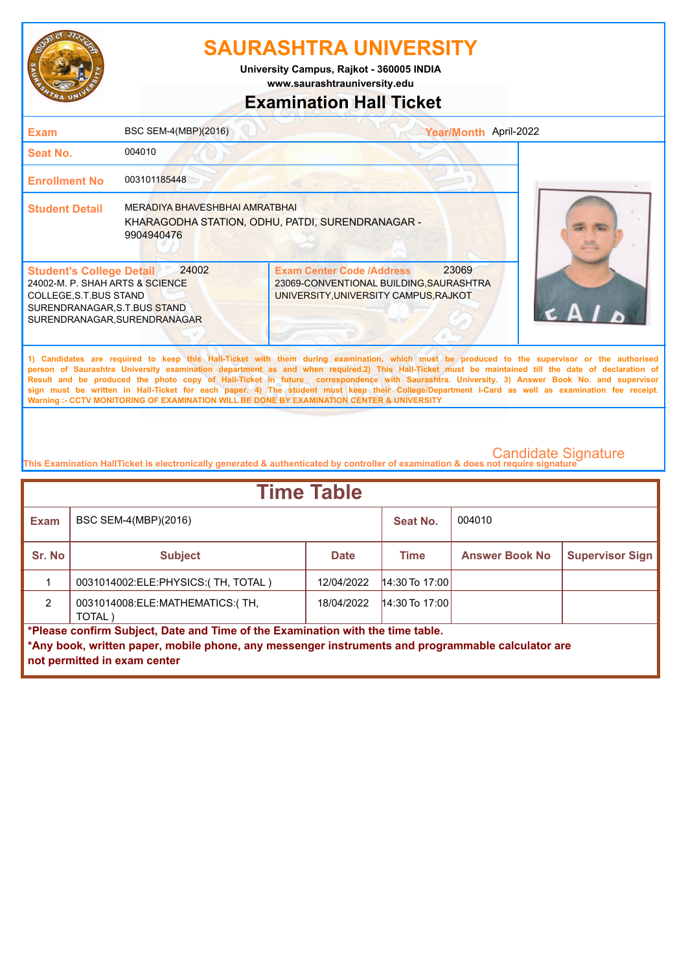

**www.saurashtrauniversity.edu University Campus, Rajkot - 360005 INDIA**

### **Examination Hall Ticket**

| <b>Exam</b>                                                                                                                                                   | BSC SEM-4(MBP)(2016)                                | Year/Month April-2022                                                                                                                                                                                                                                                                                                                                                                                                                                                                                                                                                                                                                                                                               |
|---------------------------------------------------------------------------------------------------------------------------------------------------------------|-----------------------------------------------------|-----------------------------------------------------------------------------------------------------------------------------------------------------------------------------------------------------------------------------------------------------------------------------------------------------------------------------------------------------------------------------------------------------------------------------------------------------------------------------------------------------------------------------------------------------------------------------------------------------------------------------------------------------------------------------------------------------|
| <b>Seat No.</b>                                                                                                                                               | 004010                                              |                                                                                                                                                                                                                                                                                                                                                                                                                                                                                                                                                                                                                                                                                                     |
| <b>Enrollment No</b>                                                                                                                                          | 003101185448                                        |                                                                                                                                                                                                                                                                                                                                                                                                                                                                                                                                                                                                                                                                                                     |
| <b>Student Detail</b>                                                                                                                                         | <b>MERADIYA BHAVESHBHAI AMRATBHAI</b><br>9904940476 | KHARAGODHA STATION, ODHU, PATDI, SURENDRANAGAR -                                                                                                                                                                                                                                                                                                                                                                                                                                                                                                                                                                                                                                                    |
| <b>Student's College Detail</b><br>24002-M. P. SHAH ARTS & SCIENCE<br>COLLEGE, S.T. BUS STAND<br>SURENDRANAGAR, S.T.BUS STAND<br>SURENDRANAGAR, SURENDRANAGAR | 24002                                               | 23069<br><b>Exam Center Code /Address</b><br>23069-CONVENTIONAL BUILDING, SAURASHTRA<br>UNIVERSITY, UNIVERSITY CAMPUS, RAJKOT                                                                                                                                                                                                                                                                                                                                                                                                                                                                                                                                                                       |
|                                                                                                                                                               |                                                     | 1) Candidates are required to keep this Hall-Ticket with them during examination, which must be produced to the supervisor or the authorised<br>person of Saurashtra University examination department as and when required.2) This Hall-Ticket must be maintained till the date of declaration of<br>Result and be produced the photo copy of Hall-Ticket in future correspondence with Saurashtra. University. 3) Answer Book No. and supervisor<br>sign must be written in Hall-Ticket for each paper. 4) The student must keep their College/Department I-Card as well as examination fee receipt.<br>Warning :- CCTV MONITORING OF EXAMINATION WILL BE DONE BY EXAMINATION CENTER & UNIVERSITY |

| <b>Time Table</b>                                                                                                                                                                   |                                              |             |                  |                       |                        |
|-------------------------------------------------------------------------------------------------------------------------------------------------------------------------------------|----------------------------------------------|-------------|------------------|-----------------------|------------------------|
| <b>Exam</b>                                                                                                                                                                         | BSC SEM-4(MBP)(2016)                         |             | Seat No.         | 004010                |                        |
| Sr. No                                                                                                                                                                              | <b>Subject</b>                               | <b>Date</b> | <b>Time</b>      | <b>Answer Book No</b> | <b>Supervisor Sign</b> |
|                                                                                                                                                                                     | 0031014002:ELE:PHYSICS:(TH, TOTAL)           | 12/04/2022  | $14:30$ To 17:00 |                       |                        |
| $\mathfrak{p}$                                                                                                                                                                      | 0031014008: ELE: MATHEMATICS: (TH,<br>TOTAL) | 18/04/2022  | $14:30$ To 17:00 |                       |                        |
| *Please confirm Subject, Date and Time of the Examination with the time table.<br>*Any book, written paper, mobile phone, any messenger instruments and programmable calculator are |                                              |             |                  |                       |                        |
|                                                                                                                                                                                     | not permitted in exam center                 |             |                  |                       |                        |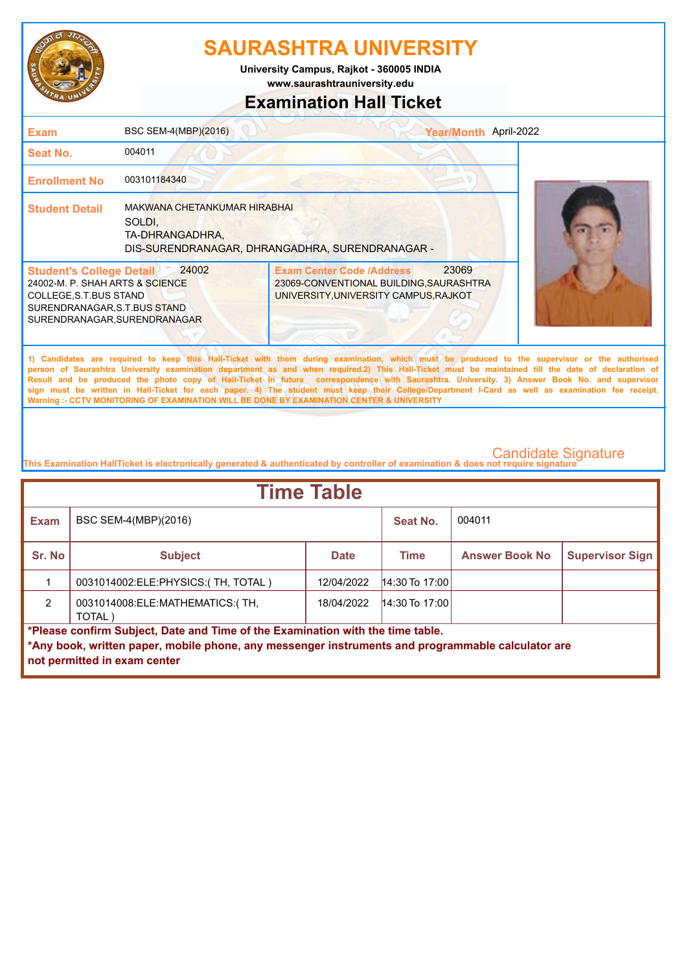

**University Campus, Rajkot - 360005 INDIA**

**www.saurashtrauniversity.edu**

### **Examination Hall Ticket**

| <b>Exam</b>                                                                                                                                                  | BSC SEM-4(MBP)(2016)                                      |                                                                                                                                                                                                                                                                                                                                                                                                                                                                                                                                                                                                                                                                                                     | Year/Month April-2022 |  |
|--------------------------------------------------------------------------------------------------------------------------------------------------------------|-----------------------------------------------------------|-----------------------------------------------------------------------------------------------------------------------------------------------------------------------------------------------------------------------------------------------------------------------------------------------------------------------------------------------------------------------------------------------------------------------------------------------------------------------------------------------------------------------------------------------------------------------------------------------------------------------------------------------------------------------------------------------------|-----------------------|--|
| Seat No.                                                                                                                                                     | 004011                                                    |                                                                                                                                                                                                                                                                                                                                                                                                                                                                                                                                                                                                                                                                                                     |                       |  |
| <b>Enrollment No</b>                                                                                                                                         | 003101184340                                              |                                                                                                                                                                                                                                                                                                                                                                                                                                                                                                                                                                                                                                                                                                     |                       |  |
| <b>Student Detail</b>                                                                                                                                        | MAKWANA CHETANKUMAR HIRABHAI<br>SOLDI.<br>TA-DHRANGADHRA, | DIS-SURENDRANAGAR, DHRANGADHRA, SURENDRANAGAR -                                                                                                                                                                                                                                                                                                                                                                                                                                                                                                                                                                                                                                                     |                       |  |
| <b>Student's College Detail</b><br>24002-M. P. SHAH ARTS & SCIENCE<br>COLLEGE, S.T.BUS STAND<br>SURENDRANAGAR, S.T.BUS STAND<br>SURENDRANAGAR, SURENDRANAGAR | 24002                                                     | <b>Exam Center Code /Address</b><br>23069-CONVENTIONAL BUILDING, SAURASHTRA<br>UNIVERSITY, UNIVERSITY CAMPUS, RAJKOT                                                                                                                                                                                                                                                                                                                                                                                                                                                                                                                                                                                | 23069                 |  |
|                                                                                                                                                              |                                                           | 1) Candidates are required to keep this Hall-Ticket with them during examination, which must be produced to the supervisor or the authorised<br>person of Saurashtra University examination department as and when required.2) This Hall-Ticket must be maintained till the date of declaration of<br>Result and be produced the photo copy of Hall-Ticket in future correspondence with Saurashtra. University. 3) Answer Book No. and supervisor<br>sign must be written in Hall-Ticket for each paper. 4) The student must keep their College/Department I-Card as well as examination fee receipt.<br>Warning :- CCTV MONITORING OF EXAMINATION WILL BE DONE BY EXAMINATION CENTER & UNIVERSITY |                       |  |

| <b>Time Table</b>                                                              |                                                                                                                                   |             |                  |                       |                        |
|--------------------------------------------------------------------------------|-----------------------------------------------------------------------------------------------------------------------------------|-------------|------------------|-----------------------|------------------------|
| <b>Exam</b>                                                                    | BSC SEM-4(MBP)(2016)                                                                                                              |             | Seat No.         | 004011                |                        |
| Sr. No                                                                         | <b>Subject</b>                                                                                                                    | <b>Date</b> | <b>Time</b>      | <b>Answer Book No</b> | <b>Supervisor Sign</b> |
|                                                                                | 0031014002:ELE:PHYSICS:(TH, TOTAL)                                                                                                | 12/04/2022  | $14:30$ To 17:00 |                       |                        |
| $\mathcal{P}$                                                                  | 0031014008: ELE: MATHEMATICS: (TH,<br>TOTAL)                                                                                      | 18/04/2022  | $14:30$ To 17:00 |                       |                        |
| *Please confirm Subject, Date and Time of the Examination with the time table. |                                                                                                                                   |             |                  |                       |                        |
|                                                                                | *Any book, written paper, mobile phone, any messenger instruments and programmable calculator are<br>not permitted in exam center |             |                  |                       |                        |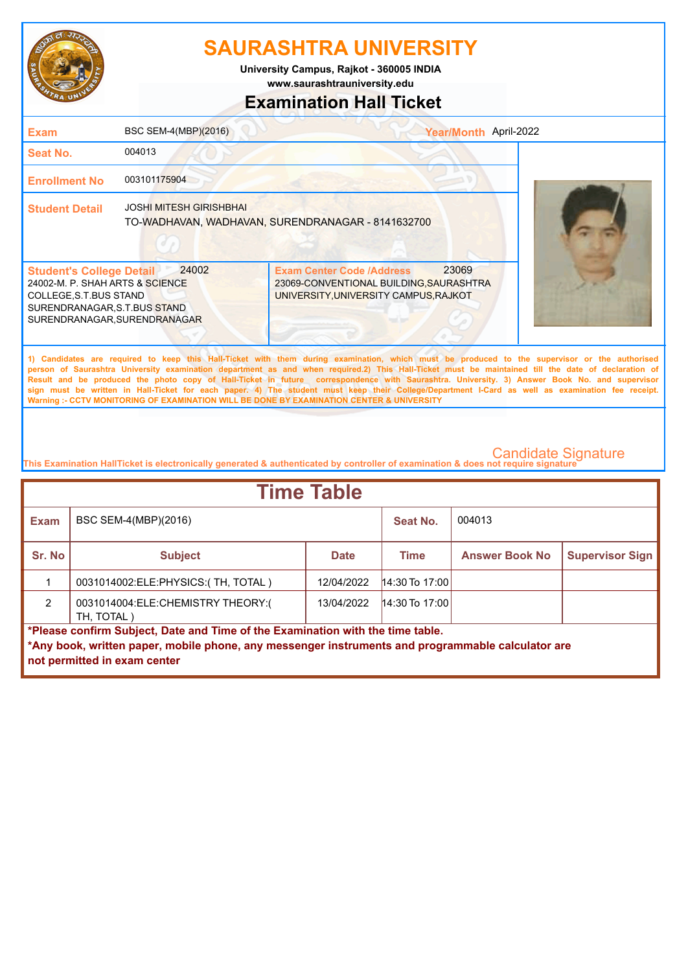

**University Campus, Rajkot - 360005 INDIA**

**www.saurashtrauniversity.edu**

### **Examination Hall Ticket**

| <b>Exam</b>                                                                                                                                                  | BSC SEM-4(MBP)(2016)           | Year/Month April-2022                                                                                                                                                                                                                                                                                                                                                                                                                                                                                                                                                                                                                                                                               |  |
|--------------------------------------------------------------------------------------------------------------------------------------------------------------|--------------------------------|-----------------------------------------------------------------------------------------------------------------------------------------------------------------------------------------------------------------------------------------------------------------------------------------------------------------------------------------------------------------------------------------------------------------------------------------------------------------------------------------------------------------------------------------------------------------------------------------------------------------------------------------------------------------------------------------------------|--|
| Seat No.                                                                                                                                                     | 004013                         |                                                                                                                                                                                                                                                                                                                                                                                                                                                                                                                                                                                                                                                                                                     |  |
| <b>Enrollment No</b>                                                                                                                                         | 003101175904                   |                                                                                                                                                                                                                                                                                                                                                                                                                                                                                                                                                                                                                                                                                                     |  |
| <b>Student Detail</b>                                                                                                                                        | <b>JOSHI MITESH GIRISHBHAI</b> | TO-WADHAVAN, WADHAVAN, SURENDRANAGAR - 8141632700                                                                                                                                                                                                                                                                                                                                                                                                                                                                                                                                                                                                                                                   |  |
| <b>Student's College Detail</b><br>24002-M. P. SHAH ARTS & SCIENCE<br>COLLEGE, S.T.BUS STAND<br>SURENDRANAGAR, S.T.BUS STAND<br>SURENDRANAGAR, SURENDRANAGAR | 24002                          | 23069<br><b>Exam Center Code /Address</b><br>23069-CONVENTIONAL BUILDING, SAURASHTRA<br>UNIVERSITY, UNIVERSITY CAMPUS, RAJKOT                                                                                                                                                                                                                                                                                                                                                                                                                                                                                                                                                                       |  |
|                                                                                                                                                              |                                | 1) Candidates are required to keep this Hall-Ticket with them during examination, which must be produced to the supervisor or the authorised<br>person of Saurashtra University examination department as and when required.2) This Hall-Ticket must be maintained till the date of declaration of<br>Result and be produced the photo copy of Hall-Ticket in future correspondence with Saurashtra. University. 3) Answer Book No. and supervisor<br>sign must be written in Hall-Ticket for each paper. 4) The student must keep their College/Department I-Card as well as examination fee receipt.<br>Warning :- CCTV MONITORING OF EXAMINATION WILL BE DONE BY EXAMINATION CENTER & UNIVERSITY |  |

| <b>Time Table</b>                                                                                                                                                                                                   |                                                 |             |                  |                       |                        |
|---------------------------------------------------------------------------------------------------------------------------------------------------------------------------------------------------------------------|-------------------------------------------------|-------------|------------------|-----------------------|------------------------|
| <b>Exam</b>                                                                                                                                                                                                         | BSC SEM-4(MBP)(2016)                            |             | Seat No.         | 004013                |                        |
| Sr. No                                                                                                                                                                                                              | <b>Subject</b>                                  | <b>Date</b> | <b>Time</b>      | <b>Answer Book No</b> | <b>Supervisor Sign</b> |
|                                                                                                                                                                                                                     | 0031014002: ELE: PHYSICS: (TH, TOTAL)           | 12/04/2022  | $14:30$ To 17:00 |                       |                        |
| $\mathcal{P}$                                                                                                                                                                                                       | 0031014004:ELE:CHEMISTRY THEORY:(<br>TH, TOTAL) | 13/04/2022  | $14:30$ To 17:00 |                       |                        |
| *Please confirm Subject, Date and Time of the Examination with the time table.<br>*Any book, written paper, mobile phone, any messenger instruments and programmable calculator are<br>not permitted in exam center |                                                 |             |                  |                       |                        |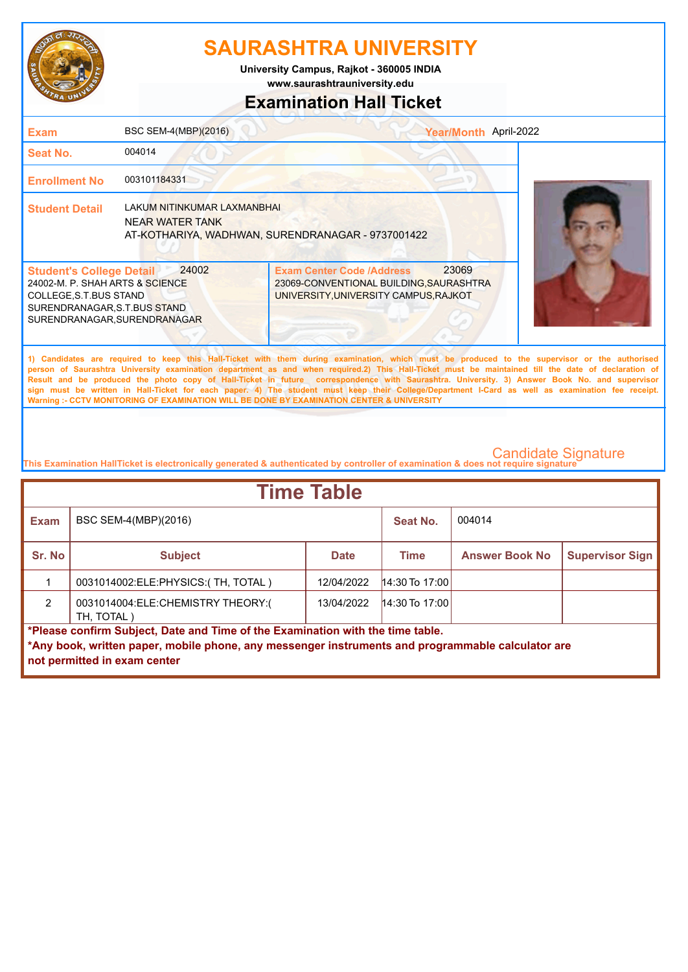

**www.saurashtrauniversity.edu University Campus, Rajkot - 360005 INDIA**

### **Examination Hall Ticket**

| <b>Exam</b>                                                                                                                                                   | BSC SEM-4(MBP)(2016)                                         |                                                                                                                                                                                                                                                                                                                                                                                                                                                                                                                                                                                                                                                                                                     | Year/Month April-2022 |
|---------------------------------------------------------------------------------------------------------------------------------------------------------------|--------------------------------------------------------------|-----------------------------------------------------------------------------------------------------------------------------------------------------------------------------------------------------------------------------------------------------------------------------------------------------------------------------------------------------------------------------------------------------------------------------------------------------------------------------------------------------------------------------------------------------------------------------------------------------------------------------------------------------------------------------------------------------|-----------------------|
| Seat No.                                                                                                                                                      | 004014                                                       |                                                                                                                                                                                                                                                                                                                                                                                                                                                                                                                                                                                                                                                                                                     |                       |
| <b>Enrollment No</b>                                                                                                                                          | 003101184331                                                 |                                                                                                                                                                                                                                                                                                                                                                                                                                                                                                                                                                                                                                                                                                     |                       |
| <b>Student Detail</b>                                                                                                                                         | <b>LAKUM NITINKUMAR LAXMANBHAI</b><br><b>NEAR WATER TANK</b> | AT-KOTHARIYA, WADHWAN, SURENDRANAGAR - 9737001422                                                                                                                                                                                                                                                                                                                                                                                                                                                                                                                                                                                                                                                   |                       |
| <b>Student's College Detail</b><br>24002-M. P. SHAH ARTS & SCIENCE<br>COLLEGE, S.T. BUS STAND<br>SURENDRANAGAR, S.T.BUS STAND<br>SURENDRANAGAR, SURENDRANAGAR | 24002                                                        | 23069<br><b>Exam Center Code /Address</b><br>23069-CONVENTIONAL BUILDING, SAURASHTRA<br>UNIVERSITY, UNIVERSITY CAMPUS, RAJKOT                                                                                                                                                                                                                                                                                                                                                                                                                                                                                                                                                                       |                       |
|                                                                                                                                                               |                                                              | 1) Candidates are required to keep this Hall-Ticket with them during examination, which must be produced to the supervisor or the authorised<br>person of Saurashtra University examination department as and when required.2) This Hall-Ticket must be maintained till the date of declaration of<br>Result and be produced the photo copy of Hall-Ticket in future correspondence with Saurashtra. University. 3) Answer Book No. and supervisor<br>sign must be written in Hall-Ticket for each paper. 4) The student must keep their College/Department I-Card as well as examination fee receipt.<br>Warning :- CCTV MONITORING OF EXAMINATION WILL BE DONE BY EXAMINATION CENTER & UNIVERSITY |                       |

| <b>Time Table</b> |                                                                                                                                                                                                                     |             |                  |                       |                        |  |
|-------------------|---------------------------------------------------------------------------------------------------------------------------------------------------------------------------------------------------------------------|-------------|------------------|-----------------------|------------------------|--|
| <b>Exam</b>       | BSC SEM-4(MBP)(2016)                                                                                                                                                                                                |             | Seat No.         | 004014                |                        |  |
| Sr. No            | <b>Subject</b>                                                                                                                                                                                                      | <b>Date</b> | <b>Time</b>      | <b>Answer Book No</b> | <b>Supervisor Sign</b> |  |
|                   | 0031014002:ELE:PHYSICS:(TH, TOTAL)                                                                                                                                                                                  | 12/04/2022  | $14:30$ To 17:00 |                       |                        |  |
| $\mathcal{P}$     | 0031014004:ELE:CHEMISTRY THEORY:(<br>TH. TOTAL)                                                                                                                                                                     | 13/04/2022  | $14:30$ To 17:00 |                       |                        |  |
|                   | *Please confirm Subject, Date and Time of the Examination with the time table.<br>*Any book, written paper, mobile phone, any messenger instruments and programmable calculator are<br>not permitted in exam center |             |                  |                       |                        |  |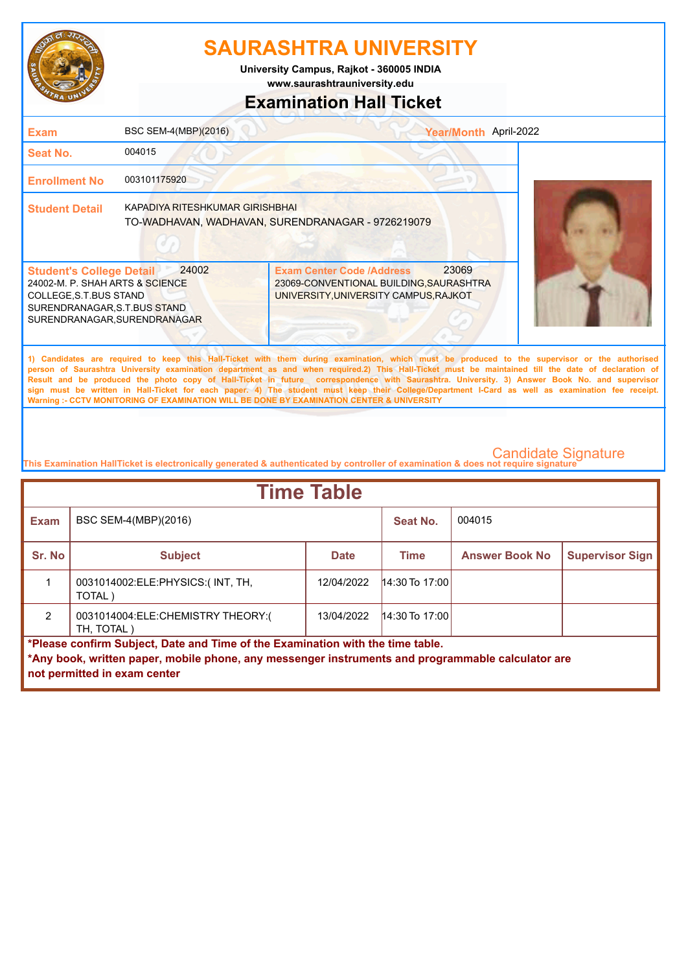

**www.saurashtrauniversity.edu University Campus, Rajkot - 360005 INDIA**

# **Examination Hall Ticket**

| Exam                                                                                                                                                          | BSC SEM-4(MBP)(2016)            | Year/Month April-2022                                                                                                                                                                                                                                                                                                                                                                                                                                                                                                                                                                                                                                                                               |  |
|---------------------------------------------------------------------------------------------------------------------------------------------------------------|---------------------------------|-----------------------------------------------------------------------------------------------------------------------------------------------------------------------------------------------------------------------------------------------------------------------------------------------------------------------------------------------------------------------------------------------------------------------------------------------------------------------------------------------------------------------------------------------------------------------------------------------------------------------------------------------------------------------------------------------------|--|
| Seat No.                                                                                                                                                      | 004015                          |                                                                                                                                                                                                                                                                                                                                                                                                                                                                                                                                                                                                                                                                                                     |  |
| <b>Enrollment No</b>                                                                                                                                          | 003101175920                    |                                                                                                                                                                                                                                                                                                                                                                                                                                                                                                                                                                                                                                                                                                     |  |
| <b>Student Detail</b>                                                                                                                                         | KAPADIYA RITESHKUMAR GIRISHBHAI | TO-WADHAVAN, WADHAVAN, SURENDRANAGAR - 9726219079                                                                                                                                                                                                                                                                                                                                                                                                                                                                                                                                                                                                                                                   |  |
| <b>Student's College Detail</b><br>24002-M. P. SHAH ARTS & SCIENCE<br>COLLEGE, S.T. BUS STAND<br>SURENDRANAGAR, S.T.BUS STAND<br>SURENDRANAGAR, SURENDRANAGAR | 24002                           | 23069<br><b>Exam Center Code /Address</b><br>23069-CONVENTIONAL BUILDING, SAURASHTRA<br>UNIVERSITY, UNIVERSITY CAMPUS, RAJKOT                                                                                                                                                                                                                                                                                                                                                                                                                                                                                                                                                                       |  |
|                                                                                                                                                               |                                 | 1) Candidates are required to keep this Hall-Ticket with them during examination, which must be produced to the supervisor or the authorised<br>person of Saurashtra University examination department as and when required.2) This Hall-Ticket must be maintained till the date of declaration of<br>Result and be produced the photo copy of Hall-Ticket in future correspondence with Saurashtra. University. 3) Answer Book No. and supervisor<br>sign must be written in Hall-Ticket for each paper. 4) The student must keep their College/Department I-Card as well as examination fee receipt.<br>Warning :- CCTV MONITORING OF EXAMINATION WILL BE DONE BY EXAMINATION CENTER & UNIVERSITY |  |

| <b>Time Table</b>                                                              |                                                                                                                                   |             |                  |                       |                        |  |
|--------------------------------------------------------------------------------|-----------------------------------------------------------------------------------------------------------------------------------|-------------|------------------|-----------------------|------------------------|--|
| <b>Exam</b>                                                                    | BSC SEM-4(MBP)(2016)                                                                                                              |             | Seat No.         | 004015                |                        |  |
| Sr. No                                                                         | <b>Subject</b>                                                                                                                    | <b>Date</b> | <b>Time</b>      | <b>Answer Book No</b> | <b>Supervisor Sign</b> |  |
|                                                                                | 0031014002:ELE:PHYSICS:(INT, TH,<br>TOTAL)                                                                                        | 12/04/2022  | $14:30$ To 17:00 |                       |                        |  |
| $\mathcal{P}$                                                                  | 0031014004:ELE:CHEMISTRY THEORY:(<br>TH, TOTAL)                                                                                   | 13/04/2022  | $14:30$ To 17:00 |                       |                        |  |
| *Please confirm Subject, Date and Time of the Examination with the time table. |                                                                                                                                   |             |                  |                       |                        |  |
|                                                                                | *Any book, written paper, mobile phone, any messenger instruments and programmable calculator are<br>not permitted in exam center |             |                  |                       |                        |  |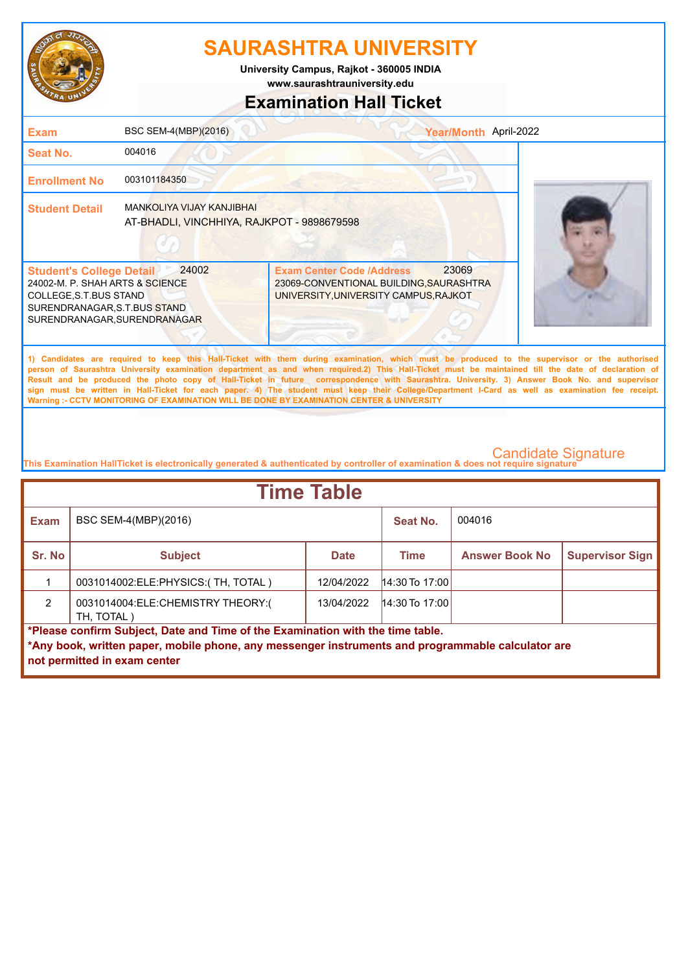

**University Campus, Rajkot - 360005 INDIA**

**www.saurashtrauniversity.edu**

### **Examination Hall Ticket**

| <b>Exam</b>                                                                                                                                                  | BSC SEM-4(MBP)(2016)                                                           | Year/Month April-2022                                                                                                                                                                                                                                                                                                                                                                                                                                                                                                                                                                                                                                                                               |  |
|--------------------------------------------------------------------------------------------------------------------------------------------------------------|--------------------------------------------------------------------------------|-----------------------------------------------------------------------------------------------------------------------------------------------------------------------------------------------------------------------------------------------------------------------------------------------------------------------------------------------------------------------------------------------------------------------------------------------------------------------------------------------------------------------------------------------------------------------------------------------------------------------------------------------------------------------------------------------------|--|
| <b>Seat No.</b>                                                                                                                                              | 004016                                                                         |                                                                                                                                                                                                                                                                                                                                                                                                                                                                                                                                                                                                                                                                                                     |  |
| <b>Enrollment No</b>                                                                                                                                         | 003101184350                                                                   |                                                                                                                                                                                                                                                                                                                                                                                                                                                                                                                                                                                                                                                                                                     |  |
| <b>Student Detail</b>                                                                                                                                        | <b>MANKOLIYA VIJAY KANJIBHAI</b><br>AT-BHADLI, VINCHHIYA, RAJKPOT - 9898679598 |                                                                                                                                                                                                                                                                                                                                                                                                                                                                                                                                                                                                                                                                                                     |  |
| <b>Student's College Detail</b><br>24002-M. P. SHAH ARTS & SCIENCE<br>COLLEGE, S.T.BUS STAND<br>SURENDRANAGAR, S.T.BUS STAND<br>SURENDRANAGAR, SURENDRANAGAR | 24002                                                                          | 23069<br><b>Exam Center Code /Address</b><br>23069-CONVENTIONAL BUILDING, SAURASHTRA<br>UNIVERSITY, UNIVERSITY CAMPUS, RAJKOT                                                                                                                                                                                                                                                                                                                                                                                                                                                                                                                                                                       |  |
|                                                                                                                                                              |                                                                                | 1) Candidates are required to keep this Hall-Ticket with them during examination, which must be produced to the supervisor or the authorised<br>person of Saurashtra University examination department as and when required.2) This Hall-Ticket must be maintained till the date of declaration of<br>Result and be produced the photo copy of Hall-Ticket in future correspondence with Saurashtra. University. 3) Answer Book No. and supervisor<br>sign must be written in Hall-Ticket for each paper. 4) The student must keep their College/Department I-Card as well as examination fee receipt.<br>Warning :- CCTV MONITORING OF EXAMINATION WILL BE DONE BY EXAMINATION CENTER & UNIVERSITY |  |

| <b>Time Table</b> |                                                                                                                                                                                                                     |             |                  |                       |                        |  |
|-------------------|---------------------------------------------------------------------------------------------------------------------------------------------------------------------------------------------------------------------|-------------|------------------|-----------------------|------------------------|--|
| <b>Exam</b>       | BSC SEM-4(MBP)(2016)                                                                                                                                                                                                |             | Seat No.         | 004016                |                        |  |
| Sr. No            | <b>Subject</b>                                                                                                                                                                                                      | <b>Date</b> | <b>Time</b>      | <b>Answer Book No</b> | <b>Supervisor Sign</b> |  |
|                   | 0031014002: ELE: PHYSICS: (TH, TOTAL)                                                                                                                                                                               | 12/04/2022  | $14:30$ To 17:00 |                       |                        |  |
| $\mathcal{P}$     | 0031014004:ELE:CHEMISTRY THEORY:(<br>TH. TOTAL )                                                                                                                                                                    | 13/04/2022  | $14:30$ To 17:00 |                       |                        |  |
|                   | *Please confirm Subject, Date and Time of the Examination with the time table.<br>*Any book, written paper, mobile phone, any messenger instruments and programmable calculator are<br>not permitted in exam center |             |                  |                       |                        |  |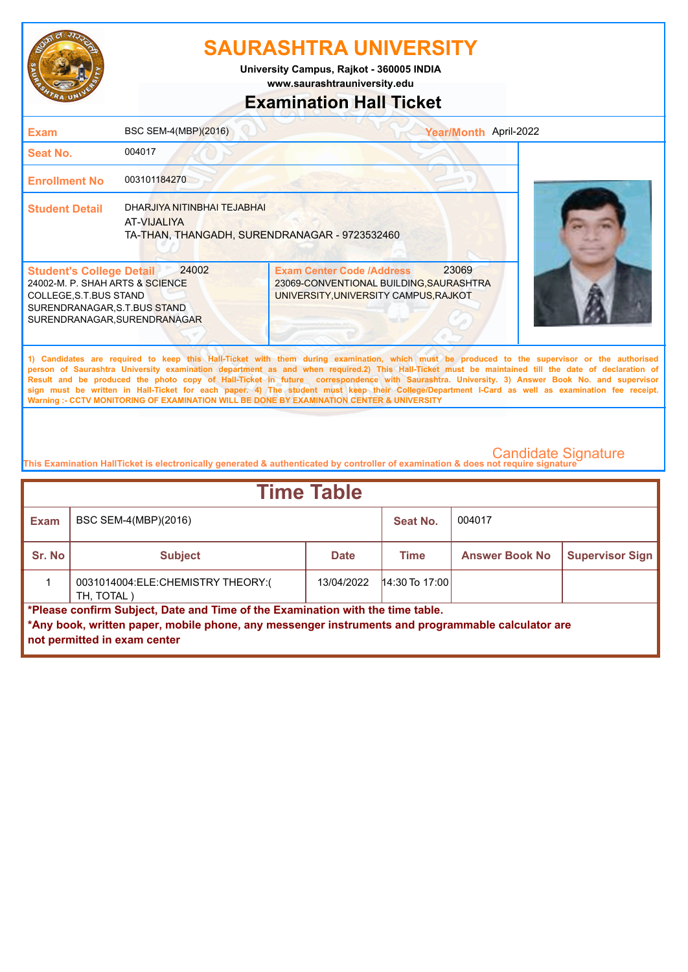

**www.saurashtrauniversity.edu University Campus, Rajkot - 360005 INDIA**

### **Examination Hall Ticket**

| <b>Exam</b>                                                                                                                                                 | BSC SEM-4(MBP)(2016)                                                                         |                                                                                                                               | Year/Month April-2022                                                                                                                                                                                                                                                                                                                                                                                                                                                                                                                                                                                  |
|-------------------------------------------------------------------------------------------------------------------------------------------------------------|----------------------------------------------------------------------------------------------|-------------------------------------------------------------------------------------------------------------------------------|--------------------------------------------------------------------------------------------------------------------------------------------------------------------------------------------------------------------------------------------------------------------------------------------------------------------------------------------------------------------------------------------------------------------------------------------------------------------------------------------------------------------------------------------------------------------------------------------------------|
| <b>Seat No.</b>                                                                                                                                             | 004017                                                                                       |                                                                                                                               |                                                                                                                                                                                                                                                                                                                                                                                                                                                                                                                                                                                                        |
| <b>Enrollment No</b>                                                                                                                                        | 003101184270                                                                                 |                                                                                                                               |                                                                                                                                                                                                                                                                                                                                                                                                                                                                                                                                                                                                        |
| <b>Student Detail</b>                                                                                                                                       | DHARJIYA NITINBHAI TEJABHAI<br>AT-VIJAI IYA<br>TA-THAN, THANGADH, SURENDRANAGAR - 9723532460 |                                                                                                                               |                                                                                                                                                                                                                                                                                                                                                                                                                                                                                                                                                                                                        |
| <b>Student's College Detail</b><br>24002-M. P. SHAH ARTS & SCIENCE<br>COLLEGE, S.T.BUS STAND<br>SURENDRANAGAR, S.T.BUS STAND<br>SURENDRANAGAR.SURENDRANAGAR | 24002                                                                                        | 23069<br><b>Exam Center Code /Address</b><br>23069-CONVENTIONAL BUILDING, SAURASHTRA<br>UNIVERSITY, UNIVERSITY CAMPUS, RAJKOT |                                                                                                                                                                                                                                                                                                                                                                                                                                                                                                                                                                                                        |
|                                                                                                                                                             |                                                                                              | Warning :- CCTV MONITORING OF EXAMINATION WILL BE DONE BY EXAMINATION CENTER & UNIVERSITY                                     | 1) Candidates are required to keep this Hall-Ticket with them during examination, which must be produced to the supervisor or the authorised<br>person of Saurashtra University examination department as and when required.2) This Hall-Ticket must be maintained till the date of declaration of<br>Result and be produced the photo copy of Hall-Ticket in future correspondence with Saurashtra. University. 3) Answer Book No. and supervisor<br>sign must be written in Hall-Ticket for each paper. 4) The student must keep their College/Department I-Card as well as examination fee receipt. |
|                                                                                                                                                             |                                                                                              |                                                                                                                               | $\sim$ $\cdots$ $\sim$                                                                                                                                                                                                                                                                                                                                                                                                                                                                                                                                                                                 |

| <b>Time Table</b>                                                                                                                                                                   |                                                 |             |                  |                       |                        |
|-------------------------------------------------------------------------------------------------------------------------------------------------------------------------------------|-------------------------------------------------|-------------|------------------|-----------------------|------------------------|
| <b>Exam</b>                                                                                                                                                                         | BSC SEM-4(MBP)(2016)                            |             | Seat No.         | 004017                |                        |
| Sr. No                                                                                                                                                                              | <b>Subject</b>                                  | <b>Date</b> | <b>Time</b>      | <b>Answer Book No</b> | <b>Supervisor Sign</b> |
|                                                                                                                                                                                     | 0031014004:ELE:CHEMISTRY THEORY:(<br>TH, TOTAL) | 13/04/2022  | $14:30$ To 17:00 |                       |                        |
| *Please confirm Subject, Date and Time of the Examination with the time table.<br>*Any book, written paper, mobile phone, any messenger instruments and programmable calculator are |                                                 |             |                  |                       |                        |
|                                                                                                                                                                                     | not permitted in exam center                    |             |                  |                       |                        |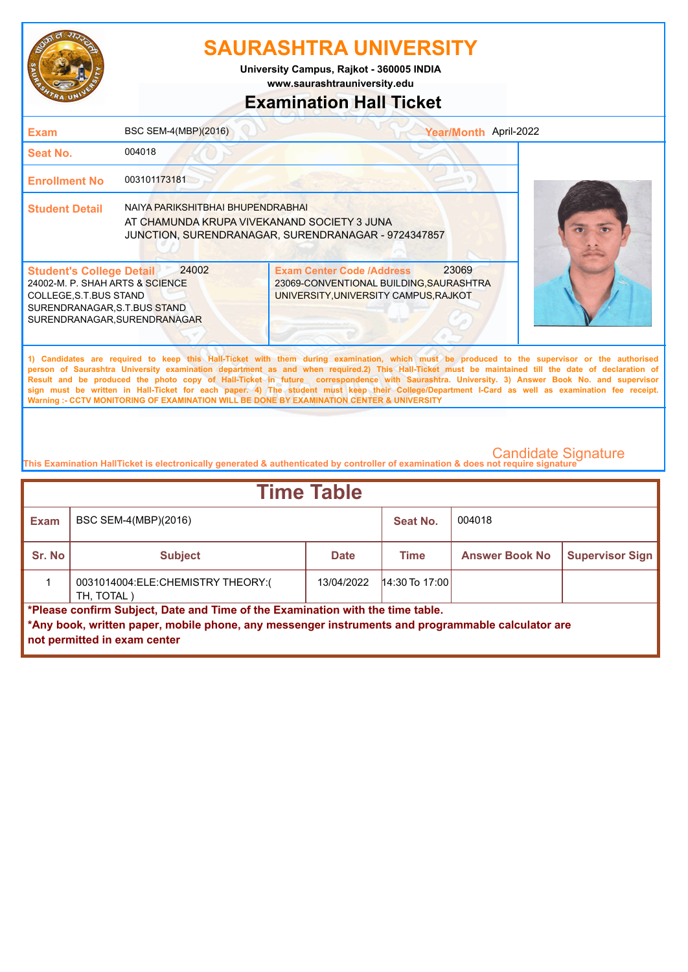

**www.saurashtrauniversity.edu University Campus, Rajkot - 360005 INDIA**

### **Examination Hall Ticket**

| <b>Exam</b>                                                                                                                                                                                                                                                                                                                                                                                                                                                                                                                                                                                                                                                                                         | BSC SEM-4(MBP)(2016)                                                             | Year/Month April-2022                                                                                                         |  |  |  |
|-----------------------------------------------------------------------------------------------------------------------------------------------------------------------------------------------------------------------------------------------------------------------------------------------------------------------------------------------------------------------------------------------------------------------------------------------------------------------------------------------------------------------------------------------------------------------------------------------------------------------------------------------------------------------------------------------------|----------------------------------------------------------------------------------|-------------------------------------------------------------------------------------------------------------------------------|--|--|--|
| Seat No.                                                                                                                                                                                                                                                                                                                                                                                                                                                                                                                                                                                                                                                                                            | 004018                                                                           |                                                                                                                               |  |  |  |
| <b>Enrollment No</b>                                                                                                                                                                                                                                                                                                                                                                                                                                                                                                                                                                                                                                                                                | 003101173181                                                                     |                                                                                                                               |  |  |  |
| <b>Student Detail</b>                                                                                                                                                                                                                                                                                                                                                                                                                                                                                                                                                                                                                                                                               | NAIYA PARIKSHITBHAI BHUPENDRABHAI<br>AT CHAMUNDA KRUPA VIVEKANAND SOCIETY 3 JUNA | JUNCTION, SURENDRANAGAR, SURENDRANAGAR - 9724347857                                                                           |  |  |  |
| <b>Student's College Detail</b><br>24002-M. P. SHAH ARTS & SCIENCE<br>COLLEGE, S.T.BUS STAND<br>SURENDRANAGAR, S.T.BUS STAND<br>SURENDRANAGAR, SURENDRANAGAR                                                                                                                                                                                                                                                                                                                                                                                                                                                                                                                                        | 24002                                                                            | 23069<br><b>Exam Center Code /Address</b><br>23069-CONVENTIONAL BUILDING, SAURASHTRA<br>UNIVERSITY, UNIVERSITY CAMPUS, RAJKOT |  |  |  |
| 1) Candidates are required to keep this Hall-Ticket with them during examination, which must be produced to the supervisor or the authorised<br>person of Saurashtra University examination department as and when required.2) This Hall-Ticket must be maintained till the date of declaration of<br>Result and be produced the photo copy of Hall-Ticket in future correspondence with Saurashtra. University. 3) Answer Book No. and supervisor<br>sign must be written in Hall-Ticket for each paper. 4) The student must keep their College/Department I-Card as well as examination fee receipt.<br>Warning :- CCTV MONITORING OF EXAMINATION WILL BE DONE BY EXAMINATION CENTER & UNIVERSITY |                                                                                  |                                                                                                                               |  |  |  |

| <b>Time Table</b> |                                                                                                                                                                                                                     |             |                  |                       |                        |  |  |
|-------------------|---------------------------------------------------------------------------------------------------------------------------------------------------------------------------------------------------------------------|-------------|------------------|-----------------------|------------------------|--|--|
| <b>Exam</b>       | BSC SEM-4(MBP)(2016)                                                                                                                                                                                                |             | Seat No.         | 004018                |                        |  |  |
| Sr. No            | <b>Subject</b>                                                                                                                                                                                                      | <b>Date</b> | Time             | <b>Answer Book No</b> | <b>Supervisor Sign</b> |  |  |
|                   | 0031014004:ELE:CHEMISTRY THEORY:(<br>TH, TOTAL)                                                                                                                                                                     | 13/04/2022  | $14:30$ To 17:00 |                       |                        |  |  |
|                   | *Please confirm Subject, Date and Time of the Examination with the time table.<br>*Any book, written paper, mobile phone, any messenger instruments and programmable calculator are<br>not permitted in exam center |             |                  |                       |                        |  |  |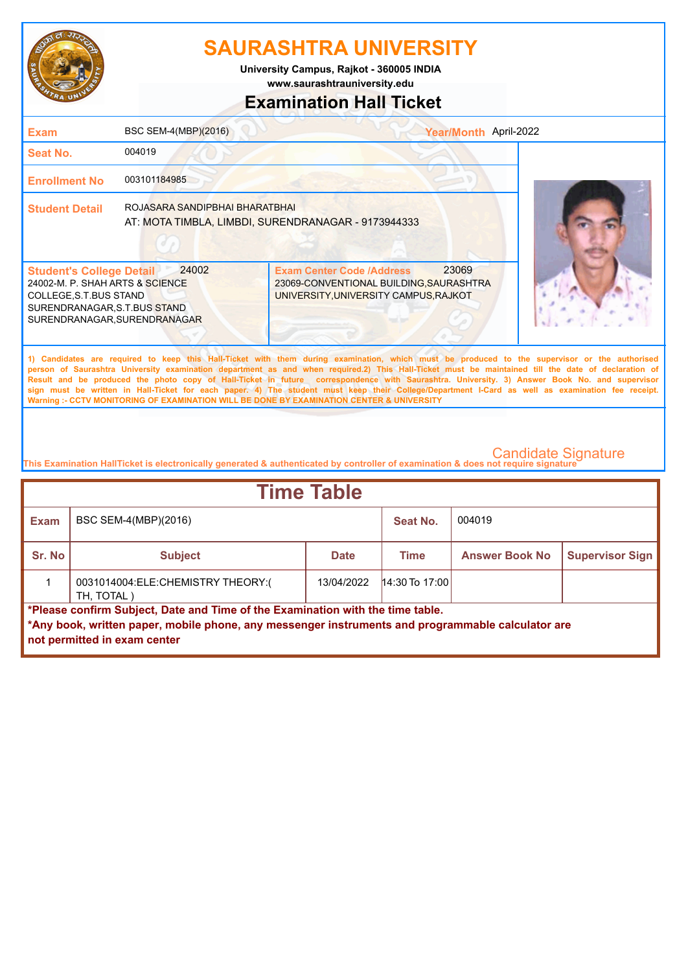

**www.saurashtrauniversity.edu University Campus, Rajkot - 360005 INDIA**

# **Examination Hall Ticket**

| <b>Exam</b>                                                                                                                                                  | BSC SEM-4(MBP)(2016)           | Year/Month April-2022                                                                                                                                                                                                                                                                                                                                                                                                                                                                                                                                                                                                                                                                               |  |
|--------------------------------------------------------------------------------------------------------------------------------------------------------------|--------------------------------|-----------------------------------------------------------------------------------------------------------------------------------------------------------------------------------------------------------------------------------------------------------------------------------------------------------------------------------------------------------------------------------------------------------------------------------------------------------------------------------------------------------------------------------------------------------------------------------------------------------------------------------------------------------------------------------------------------|--|
| <b>Seat No.</b>                                                                                                                                              | 004019                         |                                                                                                                                                                                                                                                                                                                                                                                                                                                                                                                                                                                                                                                                                                     |  |
| <b>Enrollment No</b>                                                                                                                                         | 003101184985                   |                                                                                                                                                                                                                                                                                                                                                                                                                                                                                                                                                                                                                                                                                                     |  |
| <b>Student Detail</b>                                                                                                                                        | ROJASARA SANDIPBHAI BHARATBHAI | AT: MOTA TIMBLA, LIMBDI, SURENDRANAGAR - 9173944333                                                                                                                                                                                                                                                                                                                                                                                                                                                                                                                                                                                                                                                 |  |
| <b>Student's College Detail</b><br>24002-M. P. SHAH ARTS & SCIENCE<br>COLLEGE, S.T.BUS STAND<br>SURENDRANAGAR, S.T.BUS STAND<br>SURENDRANAGAR, SURENDRANAGAR | 24002                          | 23069<br><b>Exam Center Code /Address</b><br>23069-CONVENTIONAL BUILDING, SAURASHTRA<br>UNIVERSITY, UNIVERSITY CAMPUS, RAJKOT                                                                                                                                                                                                                                                                                                                                                                                                                                                                                                                                                                       |  |
|                                                                                                                                                              |                                | 1) Candidates are required to keep this Hall-Ticket with them during examination, which must be produced to the supervisor or the authorised<br>person of Saurashtra University examination department as and when required.2) This Hall-Ticket must be maintained till the date of declaration of<br>Result and be produced the photo copy of Hall-Ticket in future correspondence with Saurashtra. University. 3) Answer Book No. and supervisor<br>sign must be written in Hall-Ticket for each paper. 4) The student must keep their College/Department I-Card as well as examination fee receipt.<br>Warning :- CCTV MONITORING OF EXAMINATION WILL BE DONE BY EXAMINATION CENTER & UNIVERSITY |  |
|                                                                                                                                                              |                                |                                                                                                                                                                                                                                                                                                                                                                                                                                                                                                                                                                                                                                                                                                     |  |

| <b>Time Table</b> |                                                                                                                                                                                                                     |             |                  |                       |                        |  |  |
|-------------------|---------------------------------------------------------------------------------------------------------------------------------------------------------------------------------------------------------------------|-------------|------------------|-----------------------|------------------------|--|--|
| <b>Exam</b>       | BSC SEM-4(MBP)(2016)                                                                                                                                                                                                |             | Seat No.         | 004019                |                        |  |  |
| Sr. No            | <b>Subject</b>                                                                                                                                                                                                      | <b>Date</b> | <b>Time</b>      | <b>Answer Book No</b> | <b>Supervisor Sign</b> |  |  |
|                   | 0031014004:ELE:CHEMISTRY THEORY:(<br>TH, TOTAL)                                                                                                                                                                     | 13/04/2022  | $14:30$ To 17:00 |                       |                        |  |  |
|                   | *Please confirm Subject, Date and Time of the Examination with the time table.<br>*Any book, written paper, mobile phone, any messenger instruments and programmable calculator are<br>not permitted in exam center |             |                  |                       |                        |  |  |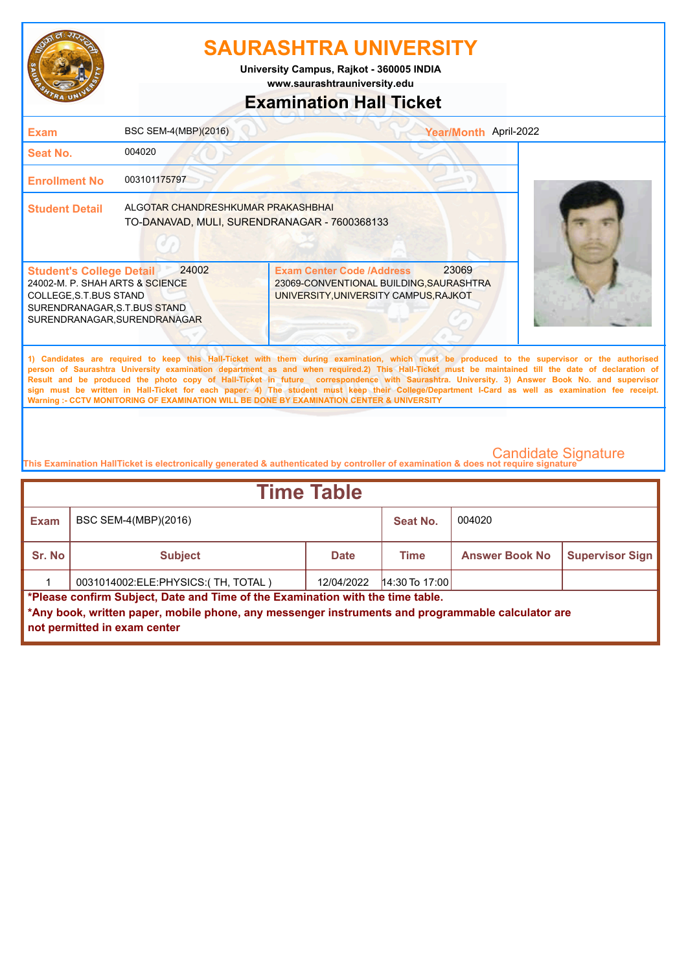

**University Campus, Rajkot - 360005 INDIA**

**www.saurashtrauniversity.edu**

### **Examination Hall Ticket**

| <b>Exam</b>                                                                                                                                                   | BSC SEM-4(MBP)(2016)                                                               | Year/Month April-2022                                                                                                                                                                                                                                                                                                                                                                                                                                                                                                                                                                                                                                                                               |  |
|---------------------------------------------------------------------------------------------------------------------------------------------------------------|------------------------------------------------------------------------------------|-----------------------------------------------------------------------------------------------------------------------------------------------------------------------------------------------------------------------------------------------------------------------------------------------------------------------------------------------------------------------------------------------------------------------------------------------------------------------------------------------------------------------------------------------------------------------------------------------------------------------------------------------------------------------------------------------------|--|
| Seat No.                                                                                                                                                      | 004020                                                                             |                                                                                                                                                                                                                                                                                                                                                                                                                                                                                                                                                                                                                                                                                                     |  |
| <b>Enrollment No</b>                                                                                                                                          | 003101175797                                                                       |                                                                                                                                                                                                                                                                                                                                                                                                                                                                                                                                                                                                                                                                                                     |  |
| <b>Student Detail</b>                                                                                                                                         | ALGOTAR CHANDRESHKUMAR PRAKASHBHAI<br>TO-DANAVAD, MULI, SURENDRANAGAR - 7600368133 |                                                                                                                                                                                                                                                                                                                                                                                                                                                                                                                                                                                                                                                                                                     |  |
| <b>Student's College Detail</b><br>24002-M. P. SHAH ARTS & SCIENCE<br>COLLEGE, S.T. BUS STAND<br>SURENDRANAGAR, S.T.BUS STAND<br>SURENDRANAGAR, SURENDRANAGAR | 24002                                                                              | 23069<br><b>Exam Center Code /Address</b><br>23069-CONVENTIONAL BUILDING, SAURASHTRA<br>UNIVERSITY, UNIVERSITY CAMPUS, RAJKOT                                                                                                                                                                                                                                                                                                                                                                                                                                                                                                                                                                       |  |
|                                                                                                                                                               |                                                                                    | 1) Candidates are required to keep this Hall-Ticket with them during examination, which must be produced to the supervisor or the authorised<br>person of Saurashtra University examination department as and when required.2) This Hall-Ticket must be maintained till the date of declaration of<br>Result and be produced the photo copy of Hall-Ticket in future correspondence with Saurashtra. University. 3) Answer Book No. and supervisor<br>sign must be written in Hall-Ticket for each paper. 4) The student must keep their College/Department I-Card as well as examination fee receipt.<br>Warning :- CCTV MONITORING OF EXAMINATION WILL BE DONE BY EXAMINATION CENTER & UNIVERSITY |  |

| <b>Time Table</b>                                                                                                                                                                                                   |                                    |             |                  |                       |                        |  |  |
|---------------------------------------------------------------------------------------------------------------------------------------------------------------------------------------------------------------------|------------------------------------|-------------|------------------|-----------------------|------------------------|--|--|
| <b>Exam</b>                                                                                                                                                                                                         | BSC SEM-4(MBP)(2016)               |             | Seat No.         | 004020                |                        |  |  |
| Sr. No                                                                                                                                                                                                              | <b>Subject</b>                     | <b>Date</b> | Time             | <b>Answer Book No</b> | <b>Supervisor Sign</b> |  |  |
|                                                                                                                                                                                                                     | 0031014002:ELE:PHYSICS:(TH, TOTAL) | 12/04/2022  | $14:30$ To 17:00 |                       |                        |  |  |
| *Please confirm Subject, Date and Time of the Examination with the time table.<br>*Any book, written paper, mobile phone, any messenger instruments and programmable calculator are<br>not permitted in exam center |                                    |             |                  |                       |                        |  |  |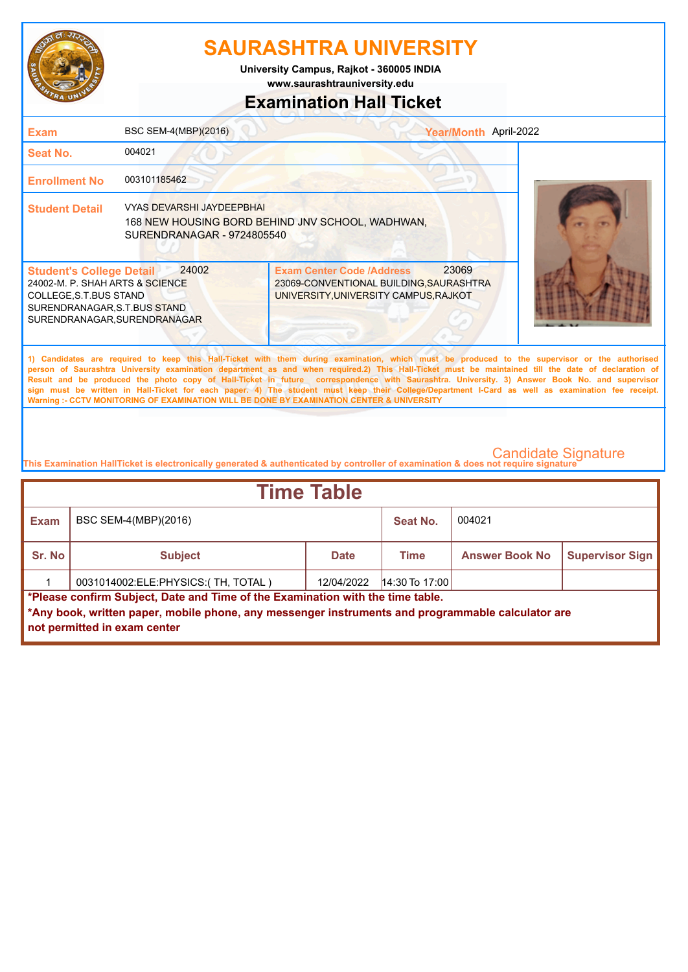

**www.saurashtrauniversity.edu University Campus, Rajkot - 360005 INDIA**

### **Examination Hall Ticket**

| <b>Exam</b>                                                                                                                                                  | BSC SEM-4(MBP)(2016)                                    | Year/Month April-2022                                                                                                                                                                                                                                                                                                                                                                                                                                                                                                                                                                                                                                                                               |                            |
|--------------------------------------------------------------------------------------------------------------------------------------------------------------|---------------------------------------------------------|-----------------------------------------------------------------------------------------------------------------------------------------------------------------------------------------------------------------------------------------------------------------------------------------------------------------------------------------------------------------------------------------------------------------------------------------------------------------------------------------------------------------------------------------------------------------------------------------------------------------------------------------------------------------------------------------------------|----------------------------|
| Seat No.                                                                                                                                                     | 004021                                                  |                                                                                                                                                                                                                                                                                                                                                                                                                                                                                                                                                                                                                                                                                                     |                            |
| <b>Enrollment No</b>                                                                                                                                         | 003101185462                                            |                                                                                                                                                                                                                                                                                                                                                                                                                                                                                                                                                                                                                                                                                                     |                            |
| <b>Student Detail</b>                                                                                                                                        | VYAS DEVARSHI JAYDEEPBHAI<br>SURENDRANAGAR - 9724805540 | 168 NEW HOUSING BORD BEHIND JNV SCHOOL, WADHWAN,                                                                                                                                                                                                                                                                                                                                                                                                                                                                                                                                                                                                                                                    |                            |
| <b>Student's College Detail</b><br>24002-M. P. SHAH ARTS & SCIENCE<br>COLLEGE, S.T.BUS STAND<br>SURENDRANAGAR, S.T.BUS STAND<br>SURENDRANAGAR, SURENDRANAGAR | 24002                                                   | 23069<br><b>Exam Center Code /Address</b><br>23069-CONVENTIONAL BUILDING, SAURASHTRA<br>UNIVERSITY, UNIVERSITY CAMPUS, RAJKOT                                                                                                                                                                                                                                                                                                                                                                                                                                                                                                                                                                       |                            |
|                                                                                                                                                              |                                                         | 1) Candidates are required to keep this Hall-Ticket with them during examination, which must be produced to the supervisor or the authorised<br>person of Saurashtra University examination department as and when required.2) This Hall-Ticket must be maintained till the date of declaration of<br>Result and be produced the photo copy of Hall-Ticket in future correspondence with Saurashtra. University. 3) Answer Book No. and supervisor<br>sign must be written in Hall-Ticket for each paper. 4) The student must keep their College/Department I-Card as well as examination fee receipt.<br>Warning :- CCTV MONITORING OF EXAMINATION WILL BE DONE BY EXAMINATION CENTER & UNIVERSITY |                            |
|                                                                                                                                                              |                                                         | This Examination HallTicket is electronically generated & authenticated by controller of examination & does not require signature                                                                                                                                                                                                                                                                                                                                                                                                                                                                                                                                                                   | <b>Candidate Signature</b> |

| <b>Exam</b><br>BSC SEM-4(MBP)(2016)<br>Seat No.                                                                                                                                                                     | 004021                |                        |  |  |  |  |
|---------------------------------------------------------------------------------------------------------------------------------------------------------------------------------------------------------------------|-----------------------|------------------------|--|--|--|--|
|                                                                                                                                                                                                                     |                       |                        |  |  |  |  |
| Sr. No<br><b>Subject</b><br><b>Date</b><br><b>Time</b>                                                                                                                                                              | <b>Answer Book No</b> | <b>Supervisor Sign</b> |  |  |  |  |
| 0031014002:ELE:PHYSICS:(TH, TOTAL)<br>$14:30$ To 17:00<br>12/04/2022                                                                                                                                                |                       |                        |  |  |  |  |
| *Please confirm Subject, Date and Time of the Examination with the time table.<br>*Any book, written paper, mobile phone, any messenger instruments and programmable calculator are<br>not permitted in exam center |                       |                        |  |  |  |  |